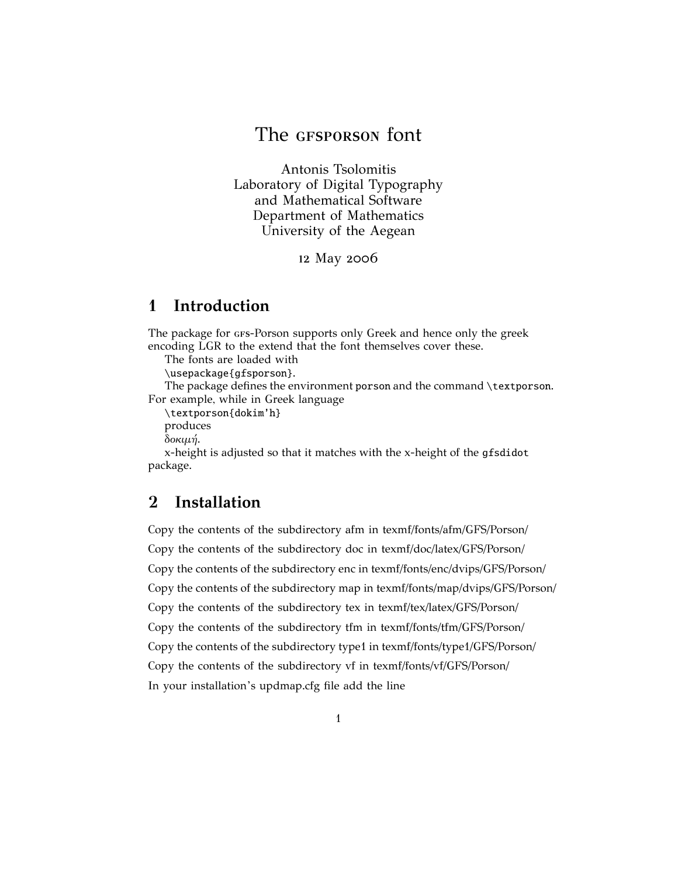## The GESPORSON font

Antonis Tsolomitis Laboratory of Digital Typography and Mathematical Software Department of Mathematics University of the Aegean

12 May 2006

## **1 Introduction**

The package for GFS-Porson supports only Greek and hence only the greek encoding LGR to the extend that the font themselves cover these.

The fonts are loaded with

\usepackage{gfsporson}.

The package defines the environment porson and the command \textporson. For example, while in Greek language

\textporson{dokim'h}

produces

δοκιμή.

x-height is adjusted so that it matches with the x-height of the gfsdidot package.

## **2 Installation**

Copy the contents of the subdirectory afm in texmf/fonts/afm/GFS/Porson/ Copy the contents of the subdirectory doc in texmf/doc/latex/GFS/Porson/ Copy the contents of the subdirectory enc in texmf/fonts/enc/dvips/GFS/Porson/ Copy the contents of the subdirectory map in texmf/fonts/map/dvips/GFS/Porson/ Copy the contents of the subdirectory tex in texmf/tex/latex/GFS/Porson/ Copy the contents of the subdirectory tfm in texmf/fonts/tfm/GFS/Porson/ Copy the contents of the subdirectory type1 in texmf/fonts/type1/GFS/Porson/ Copy the contents of the subdirectory vf in texmf/fonts/vf/GFS/Porson/ In your installation's updmap.cfg file add the line